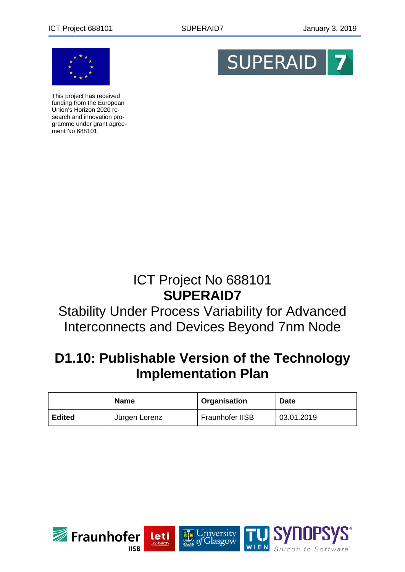

This project has received funding from the European Union's Horizon 2020 research and innovation programme under grant agreement No 688101.



# ICT Project No 688101 **SUPERAID7**

# Stability Under Process Variability for Advanced Interconnects and Devices Beyond 7nm Node

# **D1.10: Publishable Version of the Technology Implementation Plan**

|               | <b>Name</b>   | Organisation    | <b>Date</b> |
|---------------|---------------|-----------------|-------------|
| <b>Edited</b> | Jürgen Lorenz | Fraunhofer IISB | 03.01.2019  |

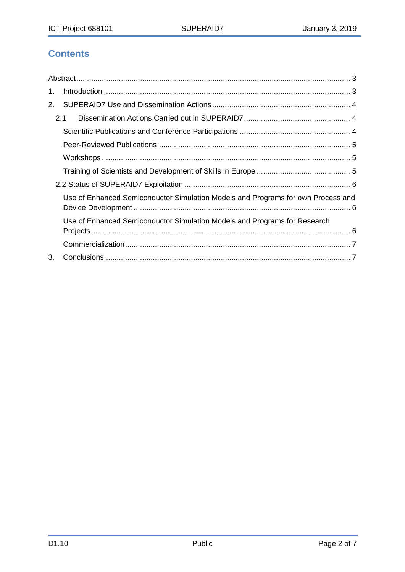# **Contents**

| 1. |                                                                                  |
|----|----------------------------------------------------------------------------------|
| 2. |                                                                                  |
|    | 2.1                                                                              |
|    |                                                                                  |
|    |                                                                                  |
|    |                                                                                  |
|    |                                                                                  |
|    |                                                                                  |
|    | Use of Enhanced Semiconductor Simulation Models and Programs for own Process and |
|    | Use of Enhanced Semiconductor Simulation Models and Programs for Research        |
|    |                                                                                  |
| 3. |                                                                                  |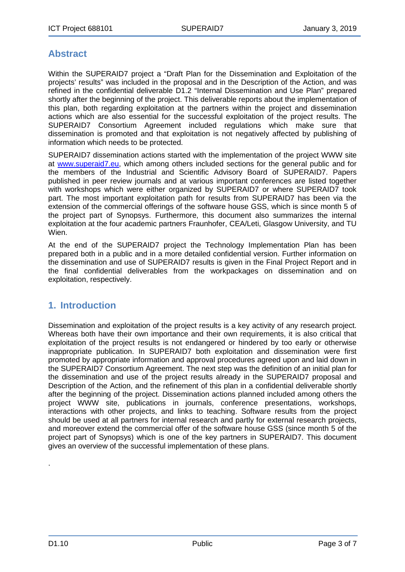## <span id="page-2-0"></span>**Abstract**

Within the SUPERAID7 project a "Draft Plan for the Dissemination and Exploitation of the projects' results" was included in the proposal and in the Description of the Action, and was refined in the confidential deliverable D1.2 "Internal Dissemination and Use Plan" prepared shortly after the beginning of the project. This deliverable reports about the implementation of this plan, both regarding exploitation at the partners within the project and dissemination actions which are also essential for the successful exploitation of the project results. The SUPERAID7 Consortium Agreement included regulations which make sure that dissemination is promoted and that exploitation is not negatively affected by publishing of information which needs to be protected.

SUPERAID7 dissemination actions started with the implementation of the project WWW site at [www.superaid7.eu,](http://www.superaid7.eu/) which among others included sections for the general public and for the members of the Industrial and Scientific Advisory Board of SUPERAID7. Papers published in peer review journals and at various important conferences are listed together with workshops which were either organized by SUPERAID7 or where SUPERAID7 took part. The most important exploitation path for results from SUPERAID7 has been via the extension of the commercial offerings of the software house GSS, which is since month 5 of the project part of Synopsys. Furthermore, this document also summarizes the internal exploitation at the four academic partners Fraunhofer, CEA/Leti, Glasgow University, and TU Wien.

At the end of the SUPERAID7 project the Technology Implementation Plan has been prepared both in a public and in a more detailed confidential version. Further information on the dissemination and use of SUPERAID7 results is given in the Final Project Report and in the final confidential deliverables from the workpackages on dissemination and on exploitation, respectively.

### <span id="page-2-1"></span>**1. Introduction**

Dissemination and exploitation of the project results is a key activity of any research project. Whereas both have their own importance and their own requirements, it is also critical that exploitation of the project results is not endangered or hindered by too early or otherwise inappropriate publication. In SUPERAID7 both exploitation and dissemination were first promoted by appropriate information and approval procedures agreed upon and laid down in the SUPERAID7 Consortium Agreement. The next step was the definition of an initial plan for the dissemination and use of the project results already in the SUPERAID7 proposal and Description of the Action, and the refinement of this plan in a confidential deliverable shortly after the beginning of the project. Dissemination actions planned included among others the project WWW site, publications in journals, conference presentations, workshops, interactions with other projects, and links to teaching. Software results from the project should be used at all partners for internal research and partly for external research projects, and moreover extend the commercial offer of the software house GSS (since month 5 of the project part of Synopsys) which is one of the key partners in SUPERAID7. This document gives an overview of the successful implementation of these plans.

.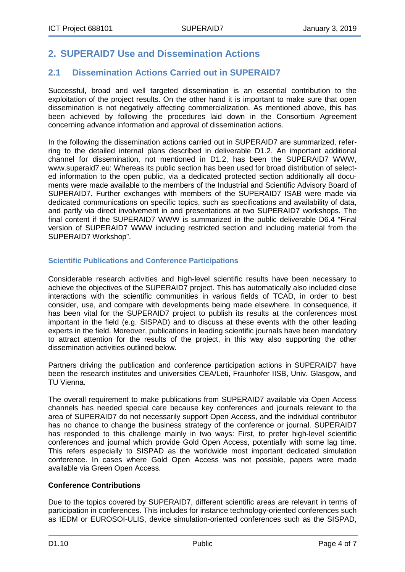## <span id="page-3-0"></span>**2. SUPERAID7 Use and Dissemination Actions**

## <span id="page-3-1"></span>**2.1 Dissemination Actions Carried out in SUPERAID7**

Successful, broad and well targeted dissemination is an essential contribution to the exploitation of the project results. On the other hand it is important to make sure that open dissemination is not negatively affecting commercialization. As mentioned above, this has been achieved by following the procedures laid down in the Consortium Agreement concerning advance information and approval of dissemination actions.

In the following the dissemination actions carried out in SUPERAID7 are summarized, referring to the detailed internal plans described in deliverable D1.2. An important additional channel for dissemination, not mentioned in D1.2, has been the SUPERAID7 WWW, www.superaid7.eu: Whereas its public section has been used for broad distribution of selected information to the open public, via a dedicated protected section additionally all documents were made available to the members of the Industrial and Scientific Advisory Board of SUPERAID7. Further exchanges with members of the SUPERAID7 ISAB were made via dedicated communications on specific topics, such as specifications and availability of data, and partly via direct involvement in and presentations at two SUPERAID7 workshops. The final content if the SUPERAID7 WWW is summarized in the public deliverable D6.4 "Final version of SUPERAID7 WWW including restricted section and including material from the SUPERAID7 Workshop".

#### <span id="page-3-2"></span>**Scientific Publications and Conference Participations**

Considerable research activities and high-level scientific results have been necessary to achieve the objectives of the SUPERAID7 project. This has automatically also included close interactions with the scientific communities in various fields of TCAD, in order to best consider, use, and compare with developments being made elsewhere. In consequence, it has been vital for the SUPERAID7 project to publish its results at the conferences most important in the field (e.g. SISPAD) and to discuss at these events with the other leading experts in the field. Moreover, publications in leading scientific journals have been mandatory to attract attention for the results of the project, in this way also supporting the other dissemination activities outlined below.

Partners driving the publication and conference participation actions in SUPERAID7 have been the research institutes and universities CEA/Leti, Fraunhofer IISB, Univ. Glasgow, and TU Vienna.

The overall requirement to make publications from SUPERAID7 available via Open Access channels has needed special care because key conferences and journals relevant to the area of SUPERAID7 do not necessarily support Open Access, and the individual contributor has no chance to change the business strategy of the conference or journal. SUPERAID7 has responded to this challenge mainly in two ways: First, to prefer high-level scientific conferences and journal which provide Gold Open Access, potentially with some lag time. This refers especially to SISPAD as the worldwide most important dedicated simulation conference. In cases where Gold Open Access was not possible, papers were made available via Green Open Access.

#### **Conference Contributions**

Due to the topics covered by SUPERAID7, different scientific areas are relevant in terms of participation in conferences. This includes for instance technology-oriented conferences such as IEDM or EUROSOI-ULIS, device simulation-oriented conferences such as the SISPAD,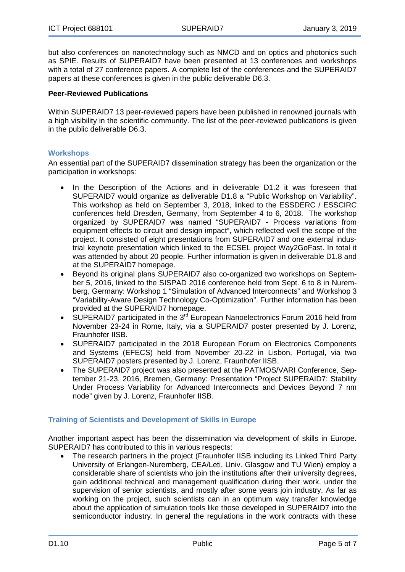but also conferences on nanotechnology such as NMCD and on optics and photonics such as SPIE. Results of SUPERAID7 have been presented at 13 conferences and workshops with a total of 27 conference papers. A complete list of the conferences and the SUPERAID7 papers at these conferences is given in the public deliverable D6.3.

#### <span id="page-4-0"></span>**Peer-Reviewed Publications**

Within SUPERAID7 13 peer-reviewed papers have been published in renowned journals with a high visibility in the scientific community. The list of the peer-reviewed publications is given in the public deliverable D6.3.

#### <span id="page-4-1"></span>**Workshops**

An essential part of the SUPERAID7 dissemination strategy has been the organization or the participation in workshops:

- In the Description of the Actions and in deliverable D1.2 it was foreseen that SUPERAID7 would organize as deliverable D1.8 a "Public Workshop on Variability". This workshop as held on September 3, 2018, linked to the ESSDERC / ESSCIRC conferences held Dresden, Germany, from September 4 to 6, 2018. The workshop organized by SUPERAID7 was named "SUPERAID7 - Process variations from equipment effects to circuit and design impact", which reflected well the scope of the project. It consisted of eight presentations from SUPERAID7 and one external industrial keynote presentation which linked to the ECSEL project Way2GoFast. In total it was attended by about 20 people. Further information is given in deliverable D1.8 and at the SUPERAID7 homepage.
- Beyond its original plans SUPERAID7 also co-organized two workshops on September 5, 2016, linked to the SISPAD 2016 conference held from Sept. 6 to 8 in Nuremberg, Germany: Workshop 1 "Simulation of Advanced Interconnects" and Workshop 3 "Variability-Aware Design Technology Co-Optimization". Further information has been provided at the SUPERAID7 homepage.
- SUPERAID7 participated in the 3<sup>rd</sup> European Nanoelectronics Forum 2016 held from November 23-24 in Rome, Italy, via a SUPERAID7 poster presented by J. Lorenz, Fraunhofer IISB.
- SUPERAID7 participated in the 2018 European Forum on Electronics Components and Systems (EFECS) held from November 20-22 in Lisbon, Portugal, via two SUPERAID7 posters presented by J. Lorenz, Fraunhofer IISB.
- The SUPERAID7 project was also presented at the PATMOS/VARI Conference, September 21-23, 2016, Bremen, Germany: Presentation "Project SUPERAID7: Stability Under Process Variability for Advanced Interconnects and Devices Beyond 7 nm node" given by J. Lorenz, Fraunhofer IISB.

#### <span id="page-4-2"></span>**Training of Scientists and Development of Skills in Europe**

Another important aspect has been the dissemination via development of skills in Europe. SUPERAID7 has contributed to this in various respects:

• The research partners in the project (Fraunhofer IISB including its Linked Third Party University of Erlangen-Nuremberg, CEA/Leti, Univ. Glasgow and TU Wien) employ a considerable share of scientists who join the institutions after their university degrees, gain additional technical and management qualification during their work, under the supervision of senior scientists, and mostly after some years join industry. As far as working on the project, such scientists can in an optimum way transfer knowledge about the application of simulation tools like those developed in SUPERAID7 into the semiconductor industry. In general the regulations in the work contracts with these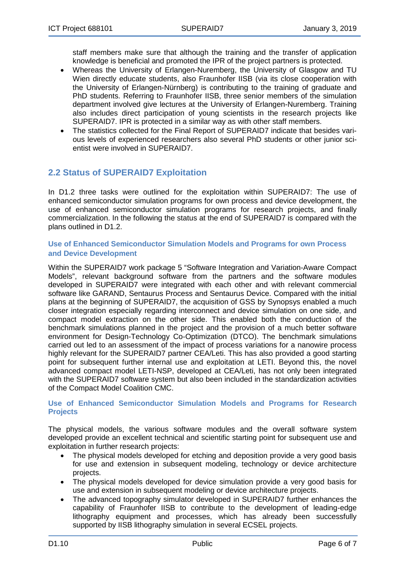staff members make sure that although the training and the transfer of application knowledge is beneficial and promoted the IPR of the project partners is protected.

- Whereas the University of Erlangen-Nuremberg, the University of Glasgow and TU Wien directly educate students, also Fraunhofer IISB (via its close cooperation with the University of Erlangen-Nürnberg) is contributing to the training of graduate and PhD students. Referring to Fraunhofer IISB, three senior members of the simulation department involved give lectures at the University of Erlangen-Nuremberg. Training also includes direct participation of young scientists in the research projects like SUPERAID7. IPR is protected in a similar way as with other staff members.
- The statistics collected for the Final Report of SUPERAID7 indicate that besides various levels of experienced researchers also several PhD students or other junior scientist were involved in SUPERAID7.

### <span id="page-5-0"></span>**2.2 Status of SUPERAID7 Exploitation**

In D1.2 three tasks were outlined for the exploitation within SUPERAID7: The use of enhanced semiconductor simulation programs for own process and device development, the use of enhanced semiconductor simulation programs for research projects, and finally commercialization. In the following the status at the end of SUPERAID7 is compared with the plans outlined in D1.2.

#### <span id="page-5-1"></span>**Use of Enhanced Semiconductor Simulation Models and Programs for own Process and Device Development**

Within the SUPERAID7 work package 5 "Software Integration and Variation-Aware Compact Models", relevant background software from the partners and the software modules developed in SUPERAID7 were integrated with each other and with relevant commercial software like GARAND, Sentaurus Process and Sentaurus Device. Compared with the initial plans at the beginning of SUPERAID7, the acquisition of GSS by Synopsys enabled a much closer integration especially regarding interconnect and device simulation on one side, and compact model extraction on the other side. This enabled both the conduction of the benchmark simulations planned in the project and the provision of a much better software environment for Design-Technology Co-Optimization (DTCO). The benchmark simulations carried out led to an assessment of the impact of process variations for a nanowire process highly relevant for the SUPERAID7 partner CEA/Leti. This has also provided a good starting point for subsequent further internal use and exploitation at LETI. Beyond this, the novel advanced compact model LETI-NSP, developed at CEA/Leti, has not only been integrated with the SUPERAID7 software system but also been included in the standardization activities of the Compact Model Coalition CMC.

#### <span id="page-5-2"></span>**Use of Enhanced Semiconductor Simulation Models and Programs for Research Projects**

The physical models, the various software modules and the overall software system developed provide an excellent technical and scientific starting point for subsequent use and exploitation in further research projects:

- The physical models developed for etching and deposition provide a very good basis for use and extension in subsequent modeling, technology or device architecture projects.
- The physical models developed for device simulation provide a very good basis for use and extension in subsequent modeling or device architecture projects.
- The advanced topography simulator developed in SUPERAID7 further enhances the capability of Fraunhofer IISB to contribute to the development of leading-edge lithography equipment and processes, which has already been successfully supported by IISB lithography simulation in several ECSEL projects.